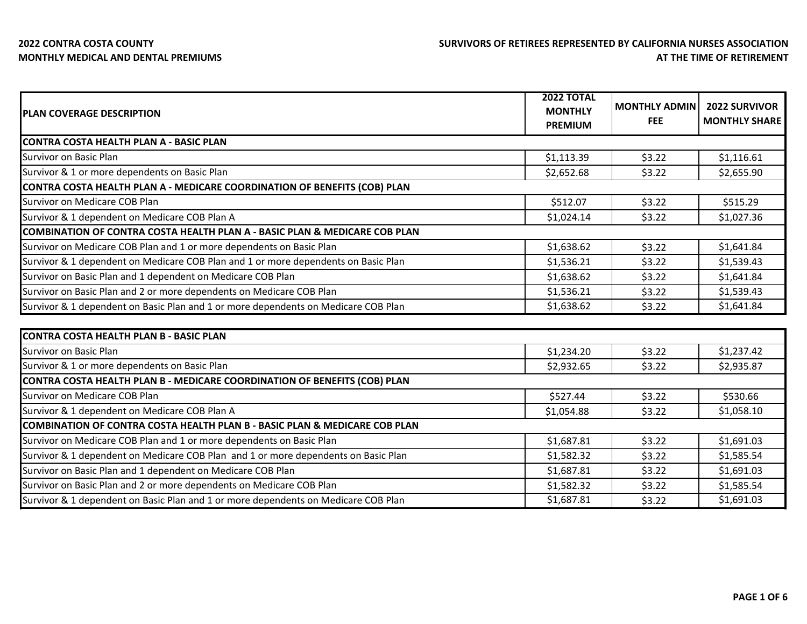| <b>PLAN COVERAGE DESCRIPTION</b>                                                      | <b>2022 TOTAL</b><br><b>MONTHLY</b> | <b>MONTHLY ADMIN</b> | <b>2022 SURVIVOR</b> |
|---------------------------------------------------------------------------------------|-------------------------------------|----------------------|----------------------|
|                                                                                       | <b>PREMIUM</b>                      | FEE.                 | <b>MONTHLY SHARE</b> |
| <b>CONTRA COSTA HEALTH PLAN A - BASIC PLAN</b>                                        |                                     |                      |                      |
| Survivor on Basic Plan                                                                | \$1,113.39                          | \$3.22               | \$1,116.61           |
| Survivor & 1 or more dependents on Basic Plan                                         | \$2,652.68                          | \$3.22               | \$2,655.90           |
| CONTRA COSTA HEALTH PLAN A - MEDICARE COORDINATION OF BENEFITS (COB) PLAN             |                                     |                      |                      |
| Survivor on Medicare COB Plan                                                         | \$512.07                            | \$3.22               | \$515.29             |
| Survivor & 1 dependent on Medicare COB Plan A                                         | \$1,024.14                          | \$3.22               | \$1,027.36           |
| <b>COMBINATION OF CONTRA COSTA HEALTH PLAN A - BASIC PLAN &amp; MEDICARE COB PLAN</b> |                                     |                      |                      |
| Survivor on Medicare COB Plan and 1 or more dependents on Basic Plan                  | \$1,638.62                          | \$3.22               | \$1,641.84           |
| Survivor & 1 dependent on Medicare COB Plan and 1 or more dependents on Basic Plan    | \$1,536.21                          | \$3.22               | \$1,539.43           |
| Survivor on Basic Plan and 1 dependent on Medicare COB Plan                           | \$1,638.62                          | \$3.22               | \$1,641.84           |
| Survivor on Basic Plan and 2 or more dependents on Medicare COB Plan                  | \$1,536.21                          | \$3.22               | \$1,539.43           |
| Survivor & 1 dependent on Basic Plan and 1 or more dependents on Medicare COB Plan    | \$1,638.62                          | \$3.22               | \$1,641.84           |
| <b>CONTRA COSTA HEALTH PLAN B - BASIC PLAN</b>                                        |                                     |                      |                      |
| Survivor on Basic Plan                                                                | \$1,234.20                          | \$3.22               | \$1,237.42           |
| Survivor & 1 or more dependents on Basic Plan                                         | \$2,932.65                          | \$3.22               | \$2,935.87           |
| CONTRA COSTA HEALTH PLAN B - MEDICARE COORDINATION OF BENEFITS (COB) PLAN             |                                     |                      |                      |
| Survivor on Medicare COB Plan                                                         | \$527.44                            | \$3.22               | \$530.66             |
| Survivor & 1 dependent on Medicare COB Plan A                                         | \$1,054.88                          | \$3.22               | \$1,058.10           |
| <b>COMBINATION OF CONTRA COSTA HEALTH PLAN B - BASIC PLAN &amp; MEDICARE COB PLAN</b> |                                     |                      |                      |
| Survivor on Medicare COB Plan and 1 or more dependents on Basic Plan                  | \$1,687.81                          | \$3.22               | \$1,691.03           |
| Survivor & 1 dependent on Medicare COB Plan and 1 or more dependents on Basic Plan    | \$1,582.32                          | \$3.22               | \$1,585.54           |
| Survivor on Basic Plan and 1 dependent on Medicare COB Plan                           | \$1,687.81                          | \$3.22               | \$1,691.03           |
| Survivor on Basic Plan and 2 or more dependents on Medicare COB Plan                  | \$1,582.32                          | \$3.22               | \$1,585.54           |
| Survivor & 1 dependent on Basic Plan and 1 or more dependents on Medicare COB Plan    | \$1,687.81                          | \$3.22               | \$1,691.03           |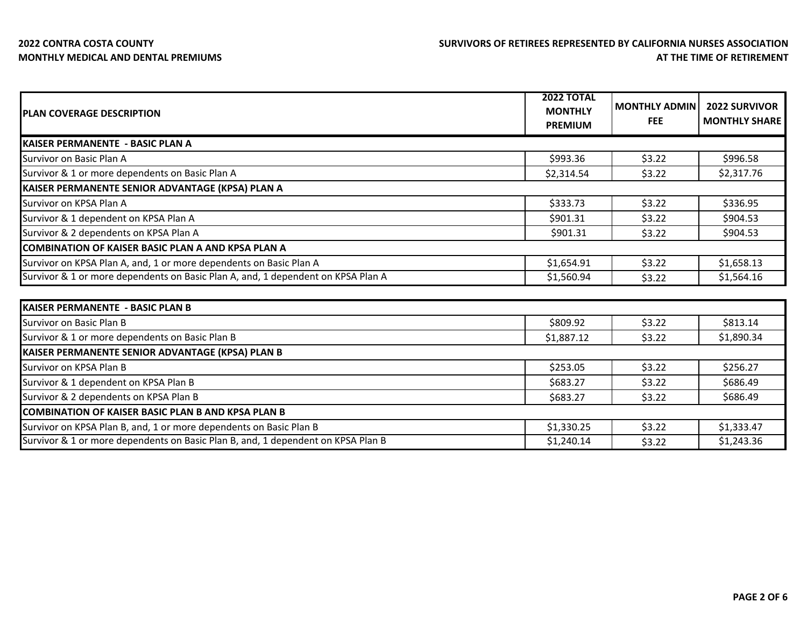## **2022 CONTRA COSTA COUNTY MONTHLY MEDICAL AND DENTAL PREMIUMS**

| <b>IPLAN COVERAGE DESCRIPTION</b>                                                | <b>2022 TOTAL</b><br><b>MONTHLY</b><br><b>PREMIUM</b> | <b>MONTHLY ADMIN</b><br><b>FEE</b> | <b>2022 SURVIVOR</b><br><b>MONTHLY SHARE</b> |
|----------------------------------------------------------------------------------|-------------------------------------------------------|------------------------------------|----------------------------------------------|
| <b>IKAISER PERMANENTE - BASIC PLAN A</b>                                         |                                                       |                                    |                                              |
| Survivor on Basic Plan A                                                         | \$993.36                                              | \$3.22                             | \$996.58                                     |
| Survivor & 1 or more dependents on Basic Plan A                                  | \$2,314.54                                            | \$3.22                             | \$2,317.76                                   |
| KAISER PERMANENTE SENIOR ADVANTAGE (KPSA) PLAN A                                 |                                                       |                                    |                                              |
| Survivor on KPSA Plan A                                                          | \$333.73                                              | \$3.22                             | \$336.95                                     |
| Survivor & 1 dependent on KPSA Plan A                                            | \$901.31                                              | \$3.22                             | \$904.53                                     |
| Survivor & 2 dependents on KPSA Plan A                                           | \$901.31                                              | \$3.22                             | \$904.53                                     |
| <b>COMBINATION OF KAISER BASIC PLAN A AND KPSA PLAN A</b>                        |                                                       |                                    |                                              |
| Survivor on KPSA Plan A, and, 1 or more dependents on Basic Plan A               | \$1,654.91                                            | \$3.22                             | \$1,658.13                                   |
| Survivor & 1 or more dependents on Basic Plan A, and, 1 dependent on KPSA Plan A | \$1,560.94                                            | \$3.22                             | \$1,564.16                                   |
|                                                                                  |                                                       |                                    |                                              |
| KAISER PERMANENTE - BASIC PLAN B                                                 |                                                       |                                    |                                              |
| Survivor on Basic Plan B                                                         | \$809.92                                              | \$3.22                             | \$813.14                                     |
| Survivor & 1 or more dependents on Basic Plan B                                  | \$1,887.12                                            | \$3.22                             | \$1,890.34                                   |
| KAISER PERMANENTE SENIOR ADVANTAGE (KPSA) PLAN B                                 |                                                       |                                    |                                              |
| Survivor on KPSA Plan B                                                          | \$253.05                                              | \$3.22                             | \$256.27                                     |
| Survivor & 1 dependent on KPSA Plan B                                            | \$683.27                                              | \$3.22                             | \$686.49                                     |
| Survivor & 2 dependents on KPSA Plan B                                           | \$683.27                                              | \$3.22                             | \$686.49                                     |
| <b>ICOMBINATION OF KAISER BASIC PLAN B AND KPSA PLAN B</b>                       |                                                       |                                    |                                              |
| Survivor on KPSA Plan B, and, 1 or more dependents on Basic Plan B               | \$1,330.25                                            | \$3.22                             | \$1,333.47                                   |
| Survivor & 1 or more dependents on Basic Plan B, and, 1 dependent on KPSA Plan B | \$1,240.14                                            | \$3.22                             | \$1,243.36                                   |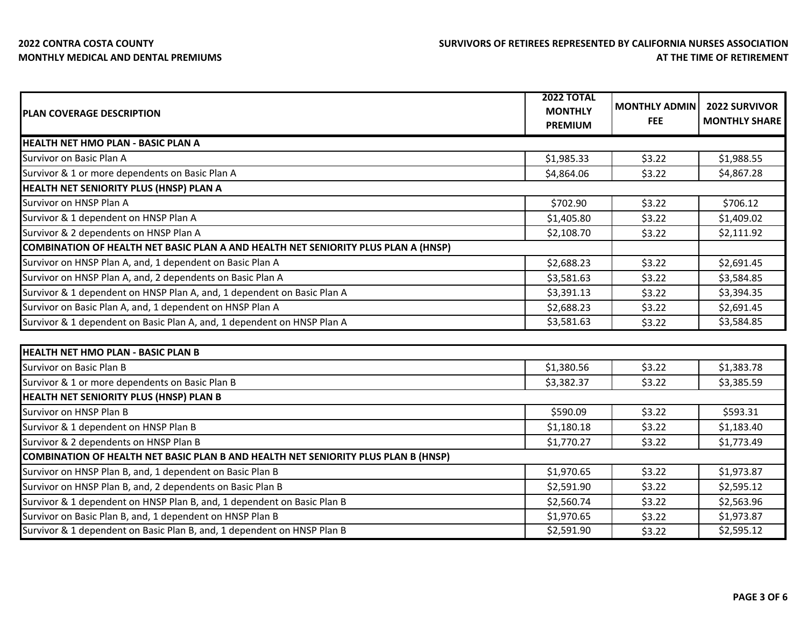## **2022 CONTRA COSTA COUNTY MONTHLY MEDICAL AND DENTAL PREMIUMS**

| <b>PLAN COVERAGE DESCRIPTION</b>                                                   | <b>2022 TOTAL</b><br><b>MONTHLY</b> | <b>MONTHLY ADMIN</b><br><b>FEE</b> | <b>2022 SURVIVOR</b><br><b>MONTHLY SHARE</b> |
|------------------------------------------------------------------------------------|-------------------------------------|------------------------------------|----------------------------------------------|
|                                                                                    | <b>PREMIUM</b>                      |                                    |                                              |
| <b>HEALTH NET HMO PLAN - BASIC PLAN A</b>                                          |                                     |                                    |                                              |
| Survivor on Basic Plan A                                                           | \$1,985.33                          | \$3.22                             | \$1,988.55                                   |
| Survivor & 1 or more dependents on Basic Plan A                                    | \$4,864.06                          | \$3.22                             | \$4,867.28                                   |
| HEALTH NET SENIORITY PLUS (HNSP) PLAN A                                            |                                     |                                    |                                              |
| Survivor on HNSP Plan A                                                            | \$702.90                            | \$3.22                             | \$706.12                                     |
| Survivor & 1 dependent on HNSP Plan A                                              | \$1,405.80                          | \$3.22                             | \$1,409.02                                   |
| Survivor & 2 dependents on HNSP Plan A                                             | \$2,108.70                          | \$3.22                             | \$2,111.92                                   |
| COMBINATION OF HEALTH NET BASIC PLAN A AND HEALTH NET SENIORITY PLUS PLAN A (HNSP) |                                     |                                    |                                              |
| Survivor on HNSP Plan A, and, 1 dependent on Basic Plan A                          | \$2,688.23                          | \$3.22                             | \$2,691.45                                   |
| Survivor on HNSP Plan A, and, 2 dependents on Basic Plan A                         | \$3,581.63                          | \$3.22                             | \$3,584.85                                   |
| Survivor & 1 dependent on HNSP Plan A, and, 1 dependent on Basic Plan A            | \$3,391.13                          | \$3.22                             | \$3,394.35                                   |
| Survivor on Basic Plan A, and, 1 dependent on HNSP Plan A                          | \$2,688.23                          | \$3.22                             | \$2,691.45                                   |
| Survivor & 1 dependent on Basic Plan A, and, 1 dependent on HNSP Plan A            | \$3,581.63                          | \$3.22                             | \$3,584.85                                   |
| <b>HEALTH NET HMO PLAN - BASIC PLAN B</b>                                          |                                     |                                    |                                              |
| Survivor on Basic Plan B                                                           | \$1,380.56                          | \$3.22                             | \$1,383.78                                   |
| Survivor & 1 or more dependents on Basic Plan B                                    | \$3,382.37                          | \$3.22                             | \$3,385.59                                   |
| <b>HEALTH NET SENIORITY PLUS (HNSP) PLAN B</b>                                     |                                     |                                    |                                              |
| Survivor on HNSP Plan B                                                            | \$590.09                            | \$3.22                             | \$593.31                                     |
| Survivor & 1 dependent on HNSP Plan B                                              | \$1,180.18                          | \$3.22                             | \$1,183.40                                   |
| Survivor & 2 dependents on HNSP Plan B                                             | \$1,770.27                          | \$3.22                             | \$1,773.49                                   |
| COMBINATION OF HEALTH NET BASIC PLAN B AND HEALTH NET SENIORITY PLUS PLAN B (HNSP) |                                     |                                    |                                              |
| Survivor on HNSP Plan B, and, 1 dependent on Basic Plan B                          | \$1,970.65                          | \$3.22                             | \$1,973.87                                   |
| Survivor on HNSP Plan B, and, 2 dependents on Basic Plan B                         | \$2,591.90                          | \$3.22                             | \$2,595.12                                   |
| Survivor & 1 dependent on HNSP Plan B, and, 1 dependent on Basic Plan B            | \$2,560.74                          | \$3.22                             | \$2,563.96                                   |
| Survivor on Basic Plan B, and, 1 dependent on HNSP Plan B                          | \$1,970.65                          | \$3.22                             | \$1,973.87                                   |
| Survivor & 1 dependent on Basic Plan B, and, 1 dependent on HNSP Plan B            | \$2,591.90                          | \$3.22                             | \$2,595.12                                   |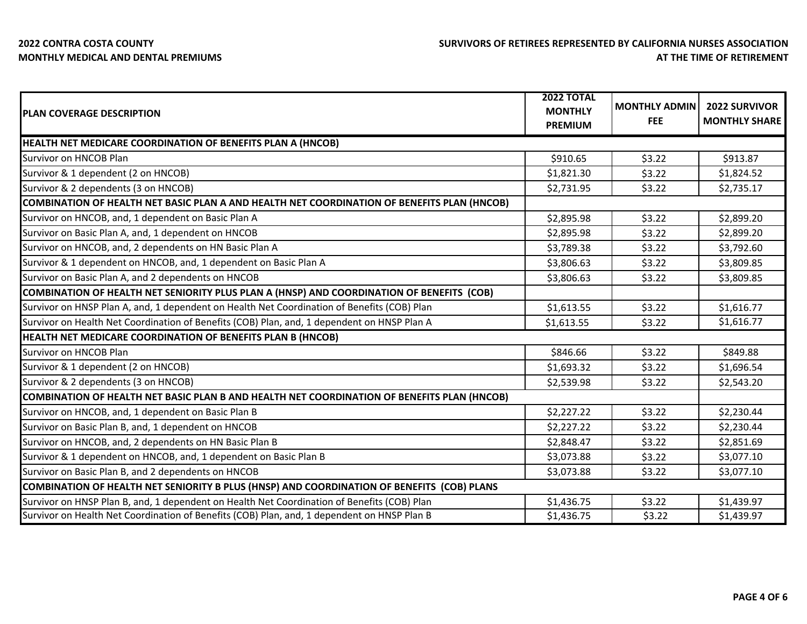| <b>PLAN COVERAGE DESCRIPTION</b>                                                            | <b>2022 TOTAL</b><br><b>MONTHLY</b><br><b>PREMIUM</b> | <b>MONTHLY ADMIN</b><br><b>FEE</b> | <b>2022 SURVIVOR</b><br><b>MONTHLY SHARE</b> |
|---------------------------------------------------------------------------------------------|-------------------------------------------------------|------------------------------------|----------------------------------------------|
| HEALTH NET MEDICARE COORDINATION OF BENEFITS PLAN A (HNCOB)                                 |                                                       |                                    |                                              |
| Survivor on HNCOB Plan                                                                      | \$910.65                                              | \$3.22                             | \$913.87                                     |
| Survivor & 1 dependent (2 on HNCOB)                                                         | \$1,821.30                                            | \$3.22                             | \$1,824.52                                   |
| Survivor & 2 dependents (3 on HNCOB)                                                        | \$2,731.95                                            | \$3.22                             | \$2,735.17                                   |
| COMBINATION OF HEALTH NET BASIC PLAN A AND HEALTH NET COORDINATION OF BENEFITS PLAN (HNCOB) |                                                       |                                    |                                              |
| Survivor on HNCOB, and, 1 dependent on Basic Plan A                                         | \$2,895.98                                            | \$3.22                             | \$2,899.20                                   |
| Survivor on Basic Plan A, and, 1 dependent on HNCOB                                         | \$2,895.98                                            | \$3.22                             | \$2,899.20                                   |
| Survivor on HNCOB, and, 2 dependents on HN Basic Plan A                                     | \$3,789.38                                            | \$3.22                             | \$3,792.60                                   |
| Survivor & 1 dependent on HNCOB, and, 1 dependent on Basic Plan A                           | \$3,806.63                                            | \$3.22                             | \$3,809.85                                   |
| Survivor on Basic Plan A, and 2 dependents on HNCOB                                         | \$3,806.63                                            | \$3.22                             | \$3,809.85                                   |
| COMBINATION OF HEALTH NET SENIORITY PLUS PLAN A (HNSP) AND COORDINATION OF BENEFITS (COB)   |                                                       |                                    |                                              |
| Survivor on HNSP Plan A, and, 1 dependent on Health Net Coordination of Benefits (COB) Plan | \$1,613.55                                            | \$3.22                             | \$1,616.77                                   |
| Survivor on Health Net Coordination of Benefits (COB) Plan, and, 1 dependent on HNSP Plan A | \$1,613.55                                            | \$3.22                             | \$1,616.77                                   |
| HEALTH NET MEDICARE COORDINATION OF BENEFITS PLAN B (HNCOB)                                 |                                                       |                                    |                                              |
| Survivor on HNCOB Plan                                                                      | \$846.66                                              | \$3.22                             | \$849.88                                     |
| Survivor & 1 dependent (2 on HNCOB)                                                         | \$1,693.32                                            | \$3.22                             | \$1,696.54                                   |
| Survivor & 2 dependents (3 on HNCOB)                                                        | \$2,539.98                                            | \$3.22                             | \$2,543.20                                   |
| COMBINATION OF HEALTH NET BASIC PLAN B AND HEALTH NET COORDINATION OF BENEFITS PLAN (HNCOB) |                                                       |                                    |                                              |
| Survivor on HNCOB, and, 1 dependent on Basic Plan B                                         | \$2,227.22                                            | \$3.22                             | \$2,230.44                                   |
| Survivor on Basic Plan B, and, 1 dependent on HNCOB                                         | \$2,227.22                                            | \$3.22                             | \$2,230.44                                   |
| Survivor on HNCOB, and, 2 dependents on HN Basic Plan B                                     | \$2,848.47                                            | \$3.22                             | \$2,851.69                                   |
| Survivor & 1 dependent on HNCOB, and, 1 dependent on Basic Plan B                           | \$3,073.88                                            | \$3.22                             | \$3,077.10                                   |
| Survivor on Basic Plan B, and 2 dependents on HNCOB                                         | \$3,073.88                                            | \$3.22                             | \$3,077.10                                   |
| COMBINATION OF HEALTH NET SENIORITY B PLUS (HNSP) AND COORDINATION OF BENEFITS (COB) PLANS  |                                                       |                                    |                                              |
| Survivor on HNSP Plan B, and, 1 dependent on Health Net Coordination of Benefits (COB) Plan | \$1,436.75                                            | \$3.22                             | \$1,439.97                                   |
| Survivor on Health Net Coordination of Benefits (COB) Plan, and, 1 dependent on HNSP Plan B | \$1,436.75                                            | \$3.22                             | \$1,439.97                                   |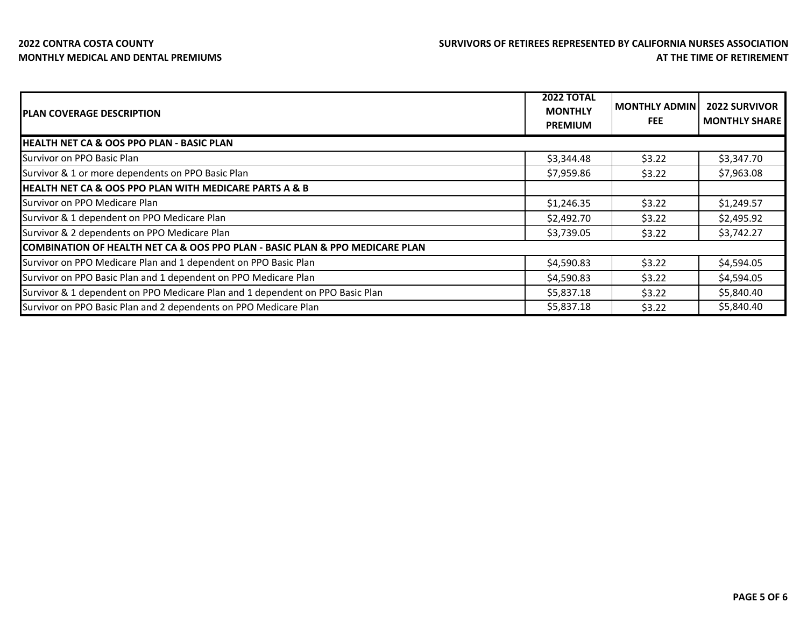| <b>PLAN COVERAGE DESCRIPTION</b>                                              | <b>2022 TOTAL</b><br><b>MONTHLY</b><br><b>PREMIUM</b> | <b>MONTHLY ADMIN</b><br><b>FEE</b> | <b>2022 SURVIVOR</b><br><b>MONTHLY SHARE</b> |
|-------------------------------------------------------------------------------|-------------------------------------------------------|------------------------------------|----------------------------------------------|
| <b>HEALTH NET CA &amp; OOS PPO PLAN - BASIC PLAN</b>                          |                                                       |                                    |                                              |
| Survivor on PPO Basic Plan                                                    | \$3,344.48                                            | \$3.22                             | \$3,347.70                                   |
| Survivor & 1 or more dependents on PPO Basic Plan                             | \$7,959.86                                            | \$3.22                             | \$7,963.08                                   |
| <b>HEALTH NET CA &amp; OOS PPO PLAN WITH MEDICARE PARTS A &amp; B</b>         |                                                       |                                    |                                              |
| Survivor on PPO Medicare Plan                                                 | \$1,246.35                                            | \$3.22                             | \$1,249.57                                   |
| Survivor & 1 dependent on PPO Medicare Plan                                   | \$2,492.70                                            | \$3.22                             | \$2,495.92                                   |
| Survivor & 2 dependents on PPO Medicare Plan                                  | \$3,739.05                                            | \$3.22                             | \$3,742.27                                   |
| COMBINATION OF HEALTH NET CA & OOS PPO PLAN - BASIC PLAN & PPO MEDICARE PLAN  |                                                       |                                    |                                              |
| Survivor on PPO Medicare Plan and 1 dependent on PPO Basic Plan               | \$4,590.83                                            | \$3.22                             | \$4,594.05                                   |
| Survivor on PPO Basic Plan and 1 dependent on PPO Medicare Plan               | \$4,590.83                                            | \$3.22                             | \$4,594.05                                   |
| Survivor & 1 dependent on PPO Medicare Plan and 1 dependent on PPO Basic Plan | \$5,837.18                                            | \$3.22                             | \$5,840.40                                   |
| Survivor on PPO Basic Plan and 2 dependents on PPO Medicare Plan              | \$5,837.18                                            | \$3.22                             | \$5,840.40                                   |